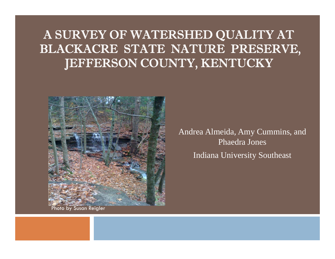#### A SURVEY OF WATERSHED QUALITY AT BLACKACRE STATE NATURE PRESERVE, IEFFERSON COUNTY, KENTUCKY



Andrea Almeida, Amy Cummins, and Phaedra JonesIndiana University Southeast

Photo by Susan Reigler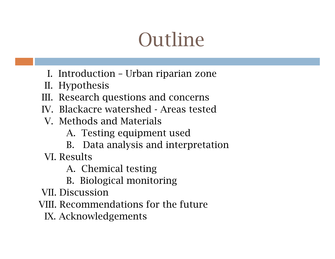## Outline

- I. Introduction Urban riparian zone
- II. Hypothesis
- III. Research questions and concerns
- IV. Blackacre watershed Areas tested
- V. Methods and Materials
	- A. Testing equipment used
	- B. Data analysis and interpretation

VI. Results

A. Chemical testing

- B. Biological monitoring
- VII. Discussion
- VIII. Recommendations for the future
	- IX. Acknowledgements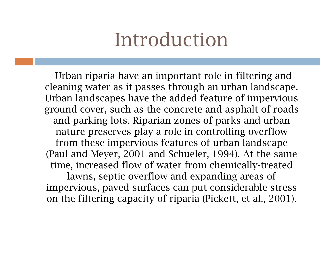#### Introduction

Urban riparia have an important role in filtering and cleaning water as it passes through an urban landscape. Urban landscapes have the added feature of impervious ground cover, such as the concrete and asphalt of roads and parking lots. Riparian zones of parks and urban nature preserves play a role in controlling overflow from these impervious features of urban landscape (Paul and Meyer, 2001 and Schueler, 1994). At the same time, increased flow of water from chemically-treated lawns, septic overflow and expanding areas of impervious, paved surfaces can put considerable stress on the filtering capacity of riparia (Pickett, et al., 2001).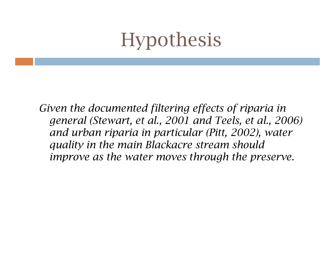## Hypothesis

*Given the documented filtering effects of riparia in general (Stewart, et al., 2001 and Teels, et al., 2006) and urban riparia in particular (Pitt, 2002), water quality in the main Blackacre stream should improve as the water moves through the preserve.*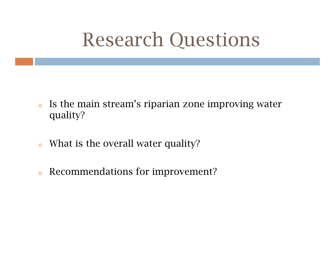#### Research Questions

- o Is the main stream's riparian zone improving water quality?
- oWhat is the overall water quality?
- oRecommendations for improvement?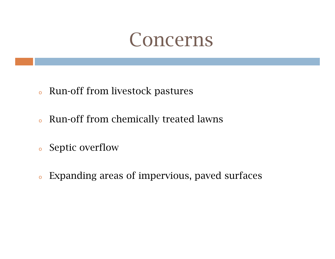#### Concerns

- oRun-off from livestock pastures
- oRun-off from chemically treated lawns
- oSeptic overflow
- oExpanding areas of impervious, paved surfaces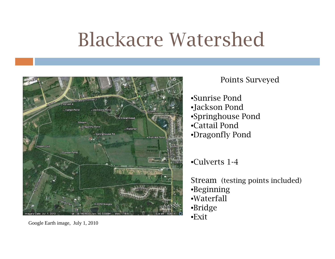## Blackacre Watershed



#### Points Surveyed

- •Sunrise Pond
- •Jackson Pond
- •Springhouse Pond
- •Cattail Pond
- •Dragonfly Pond

•Culverts 1-4

Stream (testing points included) •Beginning •Waterfall •Bridge •Exit

Google Earth image, July 1, 2010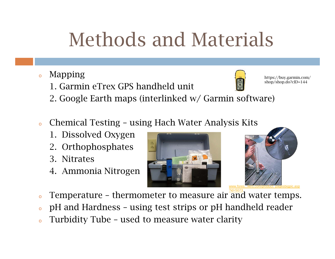# Methods and Materials

- o Mapping
	- 1. Garmin eTrex GPS handheld unit



https://buy.garmin.com/ shop/shop.do?cID=144

- 2. Google Earth maps (interlinked w/ Garmin software)
- o Chemical Testing – using Hach Water Analysis Kits
	- 1. Dissolved Oxygen
	- 2. Orthophosphates
	- 3. Nitrates
	- 4. Ammonia Nitrogen





- o $\circ$  Temperature – thermometer to measure air and water temps.
- pH and Hardness using test strips or pH handheld reader
- oTurbidity Tube – used to measure water clarity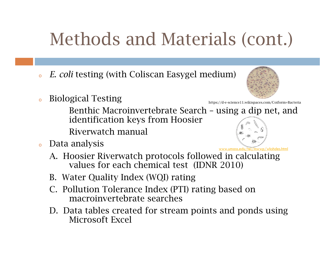#### Methods and Materials (cont.)

- o*E. coli* testing (with Coliscan Easygel medium)
- Biological Testing

Benthic Macroinvertebrate Search – using a dip net, and identification keys from Hoosier

Riverwatch manual

- o Data analysis
	- A. Hoosier Riverwatch protocols followed in calculating values for each chemical test (IDNR 2010) www.umass.edu/tei/mwwp/wkshdes.html
	- B. Water Quality Index (WQI) rating
	- C. Pollution Tolerance Index (PTI) rating based on macroinvertebrate searches
	- D. Data tables created for stream points and ponds using Microsoft Excel



https://d-e-science11.wikispaces.com/Coiform+Bacteria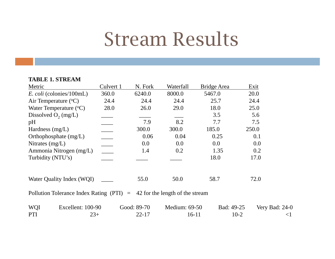#### Stream Results

#### **TABLE 1. STREAM**

| Metric                                                                     | Culvert 1                                                                                                                                                                                                                                                                                                                                                                                            | N. Fork     | Waterfall     | Bridge Area | Exit               |
|----------------------------------------------------------------------------|------------------------------------------------------------------------------------------------------------------------------------------------------------------------------------------------------------------------------------------------------------------------------------------------------------------------------------------------------------------------------------------------------|-------------|---------------|-------------|--------------------|
| <i>E. coli</i> (colonies/100mL)                                            | 360.0                                                                                                                                                                                                                                                                                                                                                                                                | 6240.0      | 8000.0        | 5467.0      | 20.0               |
| Air Temperature $({}^{\circ}C)$                                            | 24.4                                                                                                                                                                                                                                                                                                                                                                                                 | 24.4        | 24.4          | 25.7        | 24.4               |
| Water Temperature $({}^{\circ}C)$                                          | 28.0                                                                                                                                                                                                                                                                                                                                                                                                 | 26.0        | 29.0          | 18.0        | 25.0               |
| Dissolved $O_2$ (mg/L)                                                     |                                                                                                                                                                                                                                                                                                                                                                                                      |             |               | 3.5         | 5.6                |
| pH                                                                         |                                                                                                                                                                                                                                                                                                                                                                                                      | 7.9         | 8.2           | 7.7         | 7.5                |
| Hardness $(mg/L)$                                                          | $\begin{array}{c} \begin{array}{c} \begin{array}{c} \begin{array}{c} \end{array} \\ \end{array} \end{array} \end{array}$                                                                                                                                                                                                                                                                             | 300.0       | 300.0         | 185.0       | 250.0              |
| Orthophosphate (mg/L)                                                      |                                                                                                                                                                                                                                                                                                                                                                                                      | 0.06        | 0.04          | 0.25        | 0.1                |
| Nitrates $(mg/L)$                                                          | $\frac{1}{\sqrt{2\pi}}\int_0^1\frac{1}{\sqrt{2\pi}}\left(\frac{1}{\sqrt{2\pi}}\right)^2\frac{1}{2\sqrt{2\pi}}\left(\frac{1}{\sqrt{2\pi}}\right)^2\frac{1}{2\sqrt{2\pi}}\int_0^1\frac{1}{2\sqrt{2\pi}}\left(\frac{1}{\sqrt{2\pi}}\right)^2\frac{1}{2\sqrt{2\pi}}\frac{1}{2\sqrt{2\pi}}\frac{1}{2\sqrt{2\pi}}\frac{1}{2\sqrt{2\pi}}\frac{1}{2\sqrt{2\pi}}\frac{1}{2\sqrt{2\pi}}\frac{1}{2\sqrt{2\pi}}$ | 0.0         | 0.0           | $0.0\,$     | 0.0                |
| Ammonia Nitrogen (mg/L)                                                    | $\overline{\phantom{a}}$                                                                                                                                                                                                                                                                                                                                                                             | 1.4         | 0.2           | 1.35        | 0.2                |
| Turbidity (NTU's)                                                          |                                                                                                                                                                                                                                                                                                                                                                                                      |             |               | 18.0        | 17.0               |
| Water Quality Index (WQI)                                                  |                                                                                                                                                                                                                                                                                                                                                                                                      | 55.0        | 50.0          | 58.7        | 72.0               |
| Pollution Tolerance Index Rating (PTI) $=$ 42 for the length of the stream |                                                                                                                                                                                                                                                                                                                                                                                                      |             |               |             |                    |
| <b>WQI</b><br>Excellent: 100-90                                            |                                                                                                                                                                                                                                                                                                                                                                                                      | Good: 89-70 | Medium: 69-50 | Bad: 49-25  | Very Bad: 24-0     |
| PTI<br>$23+$                                                               |                                                                                                                                                                                                                                                                                                                                                                                                      | $22 - 17$   | $16-11$       |             | $10-2$<br>$\leq$ 1 |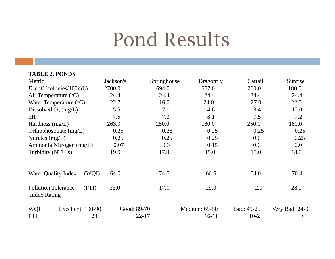#### Pond Results

| <b>TABLE 2. PONDS</b>                                      |                          |             |                          |                      |                         |
|------------------------------------------------------------|--------------------------|-------------|--------------------------|----------------------|-------------------------|
| Metric                                                     | Jackson's                | Springhouse | Dragonfly                | Cattail              | Sunrise                 |
| <i>E. coli</i> (colonies/100mL)                            | 2700.0                   | 694.0       | 667.0                    | 260.0                | 1180.0                  |
| Air Temperature $({}^{\circ}C)$                            | 24.4                     | 24.4        | 24.4                     | 24.4                 | 24.4                    |
| Water Temperature $({}^{\circ}C)$                          | 22.7                     | 16.0        | 24.0                     | 27.0                 | 22.0                    |
| Dissolved $O_2$ (mg/L)                                     | 5.5                      | 7.0         | 4.6                      | 3.4                  | 12.0                    |
| pH                                                         | 7.5                      | 7.3         | 8.1                      | 7.5                  | 7.2                     |
| Hardness $(mg/L)$                                          | 263.0                    | 250.0       | 180.0                    | 250.0                | 180.0                   |
| Orthophosphate $(mg/L)$                                    | 0.25                     | 0.25        | 0.25                     | 0.25                 | 0.25                    |
| Nitrates $(mg/L)$                                          | 0.25                     | 0.25        | 0.25                     | 0.0                  | 0.25                    |
| Ammonia Nitrogen (mg/L)                                    | 0.07                     | 0.3         | 0.15                     | 0.0                  | 0.0                     |
| Turbidity (NTU's)                                          | 19.0                     | 17.0        | 15.0                     | 15.0                 | 18.0                    |
| <b>Water Quality Index</b><br>(WQI)                        | 64.0                     | 74.5        | 66.5                     | 64.0                 | 70.4                    |
| <b>Pollution Tolerance</b><br>(PTI)<br><b>Index Rating</b> | 23.0                     | 17.0        | 29.0                     | 2.0                  | 28.0                    |
| <b>WQI</b><br>Excellent: 100-90<br>PTI<br>$23+$            | Good: 89-70<br>$22 - 17$ |             | Medium: 69-50<br>$16-11$ | Bad: 49-25<br>$10-2$ | Very Bad: 24-0<br>$<$ 1 |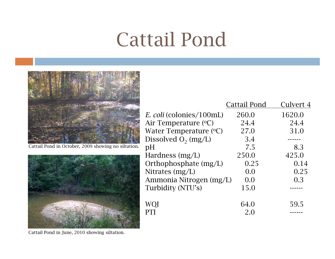## Cattail Pond



Cattail Pond in October, 2009 showing no siltation.



|                                 | <b>Cattail Pond</b> | Culvert 4 |
|---------------------------------|---------------------|-----------|
| <i>E. coli</i> (colonies/100mL) | 260.0               | 1620.0    |
| Air Temperature (°C)            | 24.4                | 24.4      |
| Water Temperature (°C)          | 27.0                | 31.0      |
| Dissolved $O_2$ (mg/L)          | 3.4                 |           |
| pH                              | 7.5                 | 8.3       |
| Hardness (mg/L)                 | 250.0               | 425.0     |
| Orthophosphate (mg/L)           | 0.25                | 0.14      |
| Nitrates $(mg/L)$               | 0.0                 | 0.25      |
| Ammonia Nitrogen (mg/L)         | 0.0                 | 0.3       |
| Turbidity (NTU's)               | 15.0                |           |
| WQI                             | 64.0                | 59.5      |
| PTI                             | 2.0                 |           |

Cattail Pond in June, 2010 showing siltation.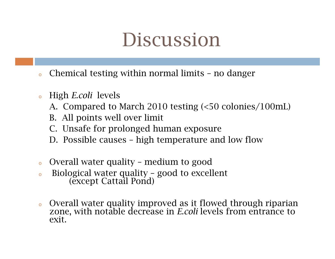#### Discussion

- oChemical testing within normal limits – no danger
- o High *E.coli* levels
	- A. Compared to March 2010 testing (<50 colonies/100mL)
	- B. All points well over limit
	- C. Unsafe for prolonged human exposure
	- D. Possible causes high temperature and low flow
- oOverall water quality – medium to good
- oBiological water quality – good to excellent (except Cattail Pond)
- o Overall water quality improved as it flowed through riparian zone, with notable decrease in *E.coli* levels from entrance to exit.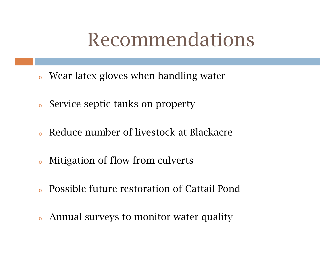#### Recommendations

- o Wear latex gloves when handling water
- oService septic tanks on property
- oReduce number of livestock at Blackacre
- oMitigation of flow from culverts
- oPossible future restoration of Cattail Pond
- Annual surveys to monitor water quality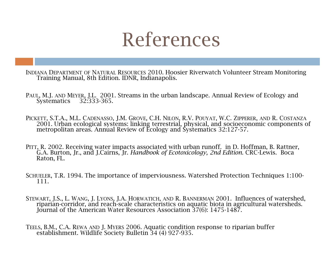#### References

- INDIANA DEPARTMENT OF NATURAL RESOURCES 2010. Hoosier Riverwatch Volunteer Stream Monitoring Training Manual, 8th Edition. IDNR, Indianapolis.
- PAUL, M.J. AND MEYER, J.L. 2001. Streams in the urban landscape. Annual Review of Ecology and Systematics 32:333-365. 32:333-365.
- PICKETT, S.T.A., M.L. CADENASSO, J.M. GROVE, C.H. NILON, R.V. POUYAT, W.C. ZIPPERER, AND R. COSTANZA 2001. Urban ecological systems: linking terrestrial, physical, and socioeconomic components of metropolitan areas. Annual Review of Ecology and Systematics 32:127-57.
- PITT, R. 2002. Receiving water impacts associated with urban runoff. in D. Hoffman, B. Rattner, G.A. Burton, Jr., and J.Cairns, Jr. *Handbook of Ecotoxicology, 2nd Edition*. CRC-Lewis. Boca Raton, FL.
- SCHUELER, T.R. 1994. The importance of imperviousness. Watershed Protection Techniques 1:100- 111.
- STEWART, J.S., L. WANG, J. LYONS, J.A. HORWATICH, AND R. BANNERMAN 2001. Influences of watershed, riparian-corridor, and reach-scale characteristics on aquatic biota in agricultural watersheds. Journal of the American Water Resources Association 37(6): 1475-1487.
- TEELS, B.M., C.A. REWA AND J. MYERS 2006. Aquatic condition response to riparian buffer establishment. Wildlife Society Bulletin 34 (4) 927-935.